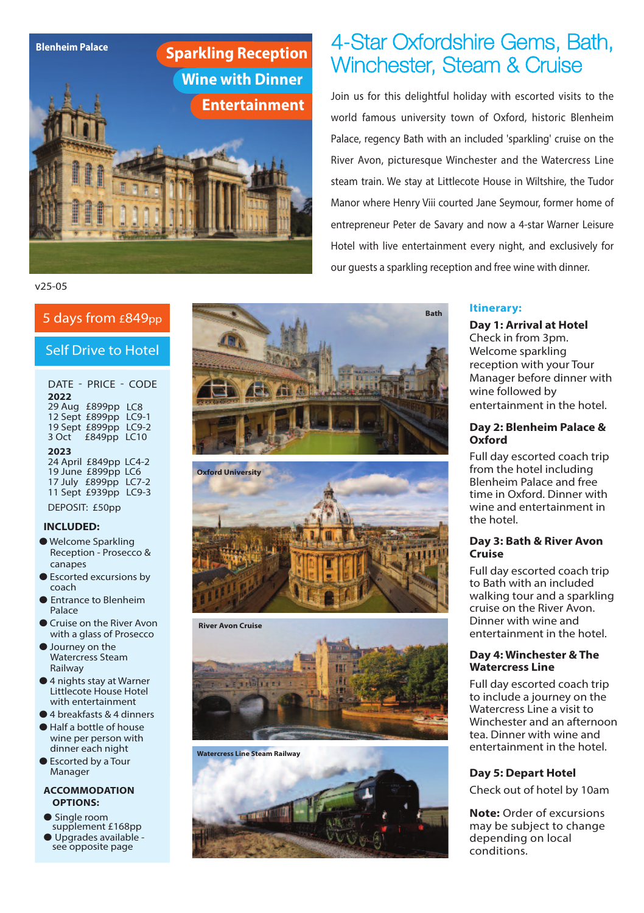

#### v25-05

#### Self Drive to Hotel

DATE - PRICE - CODE **2022** 29 Aug £899pp LC8 12 Sept £899pp LC9-1 19 Sept £899pp LC9-2 3 Oct £849pp LC10 **2023**

24 April £849pp LC4-2 19 June £899pp LC6 17 July £899pp LC7-2 11 Sept £939pp LC9-3 DEPOSIT: £50pp

#### **INCLUDED:**

- **●** Welcome Sparkling Reception - Prosecco & canapes
- **●** Escorted excursions by coach
- **●** Entrance to Blenheim Palace
- **●** Cruise on the River Avon with a glass of Prosecco
- **●** Journey on the Watercress Steam Railway
- **●** 4 nights stay at Warner Littlecote House Hotel with entertainment
- **●** 4 breakfasts & 4 dinners
- **●** Half a bottle of house wine per person with dinner each night
- **●** Escorted by a Tour Manager

#### **ACCOMMODATION OPTIONS:**

- **●** Single room supplement £168pp
- see opposite page **•** Upgrades available







**Watercress Line Steam Railway**



# Winchester, Steam & Cruise

Join us for this delightful holiday with escorted visits to the world famous university town of Oxford, historic Blenheim Palace, regency Bath with an included 'sparkling' cruise on the River Avon, picturesque Winchester and the Watercress Line steam train. We stay at Littlecote House in Wiltshire, the Tudor Manor where Henry Viii courted Jane Seymour, former home of entrepreneur Peter de Savary and now a 4-star Warner Leisure Hotel with live entertainment every night, and exclusively for our guests a sparkling reception and free wine with dinner.

#### **Itinerary:**

**Day 1: Arrival at Hotel** Check in from 3pm. Welcome sparkling reception with your Tour Manager before dinner with wine followed by entertainment in the hotel.

#### **Day 2: Blenheim Palace & Oxford**

Full day escorted coach trip from the hotel including Blenheim Palace and free time in Oxford. Dinner with wine and entertainment in the hotel.

#### **Day 3: Bath & River Avon Cruise**

Full day escorted coach trip to Bath with an included walking tour and a sparkling cruise on the River Avon. Dinner with wine and entertainment in the hotel.

#### **Day 4: Winchester &The Watercress Line**

Full day escorted coach trip to include a journey on the Watercress Line a visit to Winchester and an afternoon tea. Dinner with wine and entertainment in the hotel.

#### **Day 5: Depart Hotel**

Check out of hotel by 10am

**Note:** Order of excursions may be subject to change depending on local conditions.